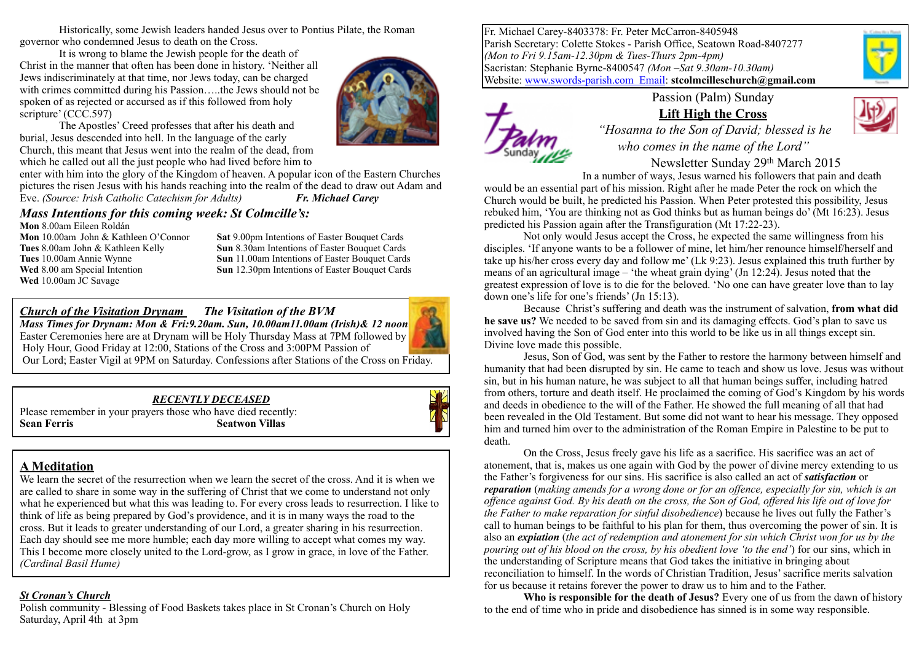Historically, some Jewish leaders handed Jesus over to Pontius Pilate, the Roman governor who condemned Jesus to death on the Cross.

It is wrong to blame the Jewish people for the death of Christ in the manner that often has been done in history. 'Neither all Jews indiscriminately at that time, nor Jews today, can be charged with crimes committed during his Passion…..the Jews should not be spoken of as rejected or accursed as if this followed from holy scripture' (CCC.597)



The Apostles' Creed professes that after his death and burial, Jesus descended into hell. In the language of the early Church, this meant that Jesus went into the realm of the dead, from which he called out all the just people who had lived before him to

enter with him into the glory of the Kingdom of heaven. A popular icon of the Eastern Churches pictures the risen Jesus with his hands reaching into the realm of the dead to draw out Adam and Eve. *(Source: Irish Catholic Catechism for Adults) Fr. Michael Carey*

#### *Mass Intentions for this coming week: St Colmcille's:*

**Mon 8.00am Eileen Roldán<br><b>Mon** 10.00am John & Kathleen O'Connor **Wed** 10.00am JC Savage

**Sat** 9.00pm Intentions of Easter Bouquet Cards **Tues** 8.00am John & Kathleen Kelly **Sun** 8.30am Intentions of Easter Bouquet Cards **Tues** 10.00am Annie Wynne **Sun** 11.00am Intentions of Easter Bouquet Cards **Wed** 8.00 am Special Intention **Sun** 12.30pm Intentions of Easter Bouquet Cards

#### *Church of the Visitation Drynam**The Visitation of the BVM*

*Mass Times for Drynam: Mon & Fri:9.20am. Sun, 10.00am11.00am (Irish)& 12 noon* Easter Ceremonies here are at Drynam will be Holy Thursday Mass at 7PM followed by Holy Hour, Good Friday at 12:00, Stations of the Cross and 3:00PM Passion of Our Lord; Easter Vigil at 9PM on Saturday. Confessions after Stations of the Cross on Friday.

#### *RECENTLY DECEASED*

Please remember in your prayers those who have died recently: **Sean Ferris Seatwon Villas** 



### **A Meditation**

We learn the secret of the resurrection when we learn the secret of the cross. And it is when we are called to share in some way in the suffering of Christ that we come to understand not only what he experienced but what this was leading to. For every cross leads to resurrection. I like to think of life as being prepared by God's providence, and it is in many ways the road to the cross. But it leads to greater understanding of our Lord, a greater sharing in his resurrection. Each day should see me more humble; each day more willing to accept what comes my way. This I become more closely united to the Lord-grow, as I grow in grace, in love of the Father. *(Cardinal Basil Hume)*

#### *St Cronan's Church*

Polish community - Blessing of Food Baskets takes place in St Cronan's Church on Holy Saturday, April 4th at 3pm

Fr. Michael Carey-8403378: Fr. Peter McCarron-8405948 Parish Secretary: Colette Stokes - Parish Office, Seatown Road-8407277 *(Mon to Fri 9.15am-12.30pm & Tues-Thurs 2pm-4pm)* Sacristan: Stephanie Byrne-8400547 *(Mon –Sat 9.30am-10.30am)*  Website: [www.swords-parish.com Email:](http://www.swords-parish.com%20%20email) **stcolmcilleschurch@gmail.com**



### Passion (Palm) Sunday **Lift High the Cross**



 *"Hosanna to the Son of David; blessed is he who comes in the name of the Lord"* 

Newsletter Sunday 29th March 2015

In a number of ways, Jesus warned his followers that pain and death would be an essential part of his mission. Right after he made Peter the rock on which the Church would be built, he predicted his Passion. When Peter protested this possibility, Jesus rebuked him, 'You are thinking not as God thinks but as human beings do' (Mt 16:23). Jesus predicted his Passion again after the Transfiguration (Mt 17:22-23).

Not only would Jesus accept the Cross, he expected the same willingness from his disciples. 'If anyone wants to be a follower of mine, let him/her renounce himself/herself and take up his/her cross every day and follow me' (Lk 9:23). Jesus explained this truth further by means of an agricultural image – 'the wheat grain dying' (Jn 12:24). Jesus noted that the greatest expression of love is to die for the beloved. 'No one can have greater love than to lay down one's life for one's friends' (Jn 15:13).

Because Christ's suffering and death was the instrument of salvation, **from what did he save us?** We needed to be saved from sin and its damaging effects. God's plan to save us involved having the Son of God enter into this world to be like us in all things except sin. Divine love made this possible.

Jesus, Son of God, was sent by the Father to restore the harmony between himself and humanity that had been disrupted by sin. He came to teach and show us love. Jesus was without sin, but in his human nature, he was subject to all that human beings suffer, including hatred from others, torture and death itself. He proclaimed the coming of God's Kingdom by his words and deeds in obedience to the will of the Father. He showed the full meaning of all that had been revealed in the Old Testament. But some did not want to hear his message. They opposed him and turned him over to the administration of the Roman Empire in Palestine to be put to death.

On the Cross, Jesus freely gave his life as a sacrifice. His sacrifice was an act of atonement, that is, makes us one again with God by the power of divine mercy extending to us the Father's forgiveness for our sins. His sacrifice is also called an act of *satisfaction* or *reparation* (*making amends for a wrong done or for an offence, especially for sin, which is an offence against God. By his death on the cross, the Son of God, offered his life out of love for the Father to make reparation for sinful disobedience*) because he lives out fully the Father's call to human beings to be faithful to his plan for them, thus overcoming the power of sin. It is also an *expiation* (*the act of redemption and atonement for sin which Christ won for us by the pouring out of his blood on the cross, by his obedient love 'to the end'*) for our sins, which in the understanding of Scripture means that God takes the initiative in bringing about reconciliation to himself. In the words of Christian Tradition, Jesus' sacrifice merits salvation for us because it retains forever the power to draw us to him and to the Father.

**Who is responsible for the death of Jesus?** Every one of us from the dawn of history to the end of time who in pride and disobedience has sinned is in some way responsible.